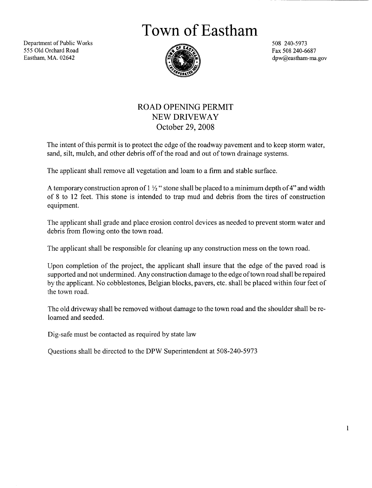Town of Eastham

Department of Public Works 555 Old Orchard Road Eastham, MA. 02642



508 240 5973 Fax 508 240 6687 dpw@eastham-ma.gov

## ROAD OPENING PERMIT NEW DRIVEWAY October 29 2008

The intent of this permit is to protect the edge of the roadway pavement and to keep storm water, sand, silt, mulch, and other debris off of the road and out of town drainage systems.

The applicant shall remove all vegetation and loam to <sup>a</sup> firm and stable surface

A temporary construction apron of  $1\frac{1}{2}$  stone shall be placed to a minimum depth of 4" and width of 8 to 12 feet. This stone is intended to trap mud and debris from the tires of construction equipment

The applicant shall grade and place erosion control devices as needed to prevent storm water and debris from flowing onto the town road.

The applicant shall be responsible for cleaning up any construction mess on the town road.

Upon completion of the project, the applicant shall insure that the edge of the paved road is supported and not undermined. Any construction damage to the edge of town road shall be repaired by the applicant. No cobblestones, Belgian blocks, pavers, etc. shall be placed within four feet of the town road

The old driveway shall be removed without damage to the town road and the shoulder shall bere loamed and seeded

Dig-safe must be contacted as required by state law

Questions shall be directed to the DPW Superintendent at 508 240 5973